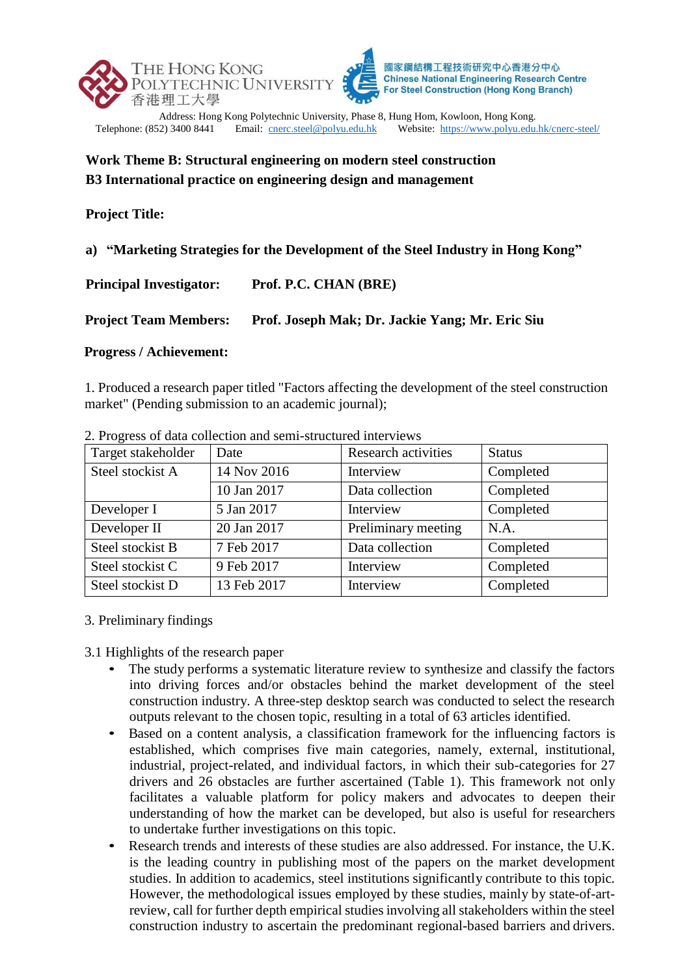

# **Work Theme B: Structural engineering on modern steel construction B3 International practice on engineering design and management**

## **Project Title:**

**a) "Marketing Strategies for the Development of the Steel Industry in Hong Kong"**

| <b>Principal Investigator:</b> | Prof. P.C. CHAN (BRE)                           |
|--------------------------------|-------------------------------------------------|
| <b>Project Team Members:</b>   | Prof. Joseph Mak; Dr. Jackie Yang; Mr. Eric Siu |

### **Progress / Achievement:**

1. Produced a research paper titled "Factors affecting the development of the steel construction market" (Pending submission to an academic journal);

| Target stakeholder | Date        | <b>Research activities</b> | <b>Status</b> |
|--------------------|-------------|----------------------------|---------------|
| Steel stockist A   | 14 Nov 2016 | Interview                  | Completed     |
|                    | 10 Jan 2017 | Data collection            | Completed     |
| Developer I        | 5 Jan 2017  | Interview                  | Completed     |
| Developer II       | 20 Jan 2017 | Preliminary meeting        | N.A.          |
| Steel stockist B   | 7 Feb 2017  | Data collection            | Completed     |
| Steel stockist C   | 9 Feb 2017  | Interview                  | Completed     |
| Steel stockist D   | 13 Feb 2017 | Interview                  | Completed     |

2. Progress of data collection and semi-structured interviews

### 3. Preliminary findings

3.1 Highlights of the research paper

- The study performs a systematic literature review to synthesize and classify the factors into driving forces and/or obstacles behind the market development of the steel construction industry. A three-step desktop search was conducted to select the research outputs relevant to the chosen topic, resulting in a total of 63 articles identified.
- Based on a content analysis, a classification framework for the influencing factors is established, which comprises five main categories, namely, external, institutional, industrial, project-related, and individual factors, in which their sub-categories for 27 drivers and 26 obstacles are further ascertained (Table 1). This framework not only facilitates a valuable platform for policy makers and advocates to deepen their understanding of how the market can be developed, but also is useful for researchers to undertake further investigations on this topic.
- Research trends and interests of these studies are also addressed. For instance, the U.K. is the leading country in publishing most of the papers on the market development studies. In addition to academics, steel institutions significantly contribute to this topic. However, the methodological issues employed by these studies, mainly by state-of-artreview, call for further depth empirical studies involving all stakeholders within the steel construction industry to ascertain the predominant regional-based barriers and drivers.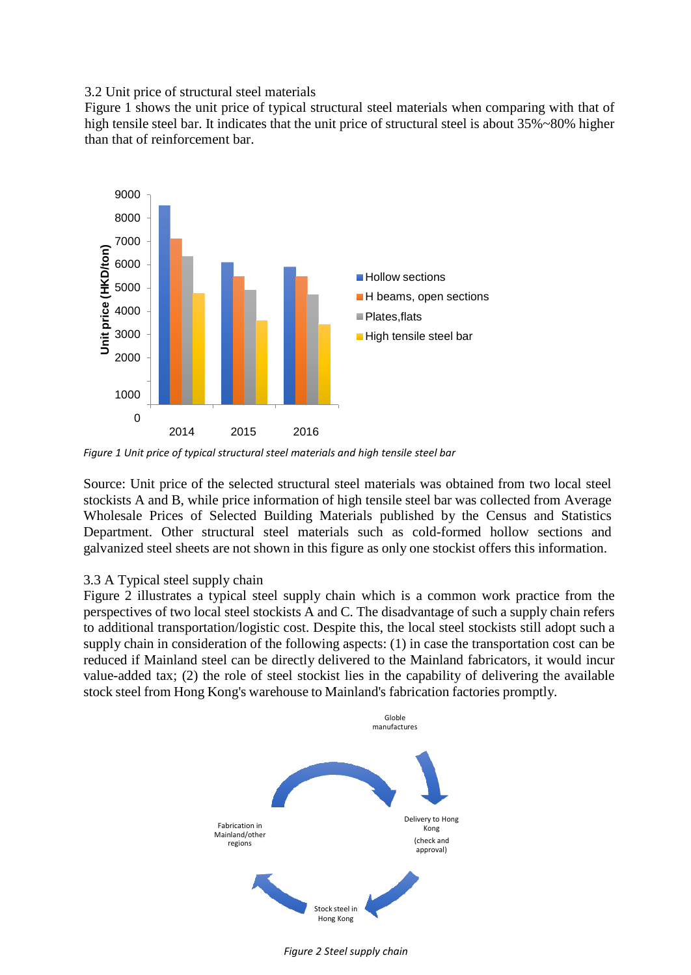3.2 Unit price of structural steel materials

Figure 1 shows the unit price of typical structural steel materials when comparing with that of high tensile steel bar. It indicates that the unit price of structural steel is about 35%~80% higher than that of reinforcement bar.



*Figure 1 Unit price of typical structural steel materials and high tensile steel bar*

Source: Unit price of the selected structural steel materials was obtained from two local steel stockists A and B, while price information of high tensile steel bar was collected from Average Wholesale Prices of Selected Building Materials published by the Census and Statistics Department. Other structural steel materials such as cold-formed hollow sections and galvanized steel sheets are not shown in this figure as only one stockist offers this information.

#### 3.3 A Typical steel supply chain

Figure 2 illustrates a typical steel supply chain which is a common work practice from the perspectives of two local steel stockists A and C. The disadvantage of such a supply chain refers to additional transportation/logistic cost. Despite this, the local steel stockists still adopt such a supply chain in consideration of the following aspects: (1) in case the transportation cost can be reduced if Mainland steel can be directly delivered to the Mainland fabricators, it would incur value-added tax; (2) the role of steel stockist lies in the capability of delivering the available stock steel from Hong Kong's warehouse to Mainland's fabrication factories promptly.



*Figure 2 Steel supply chain*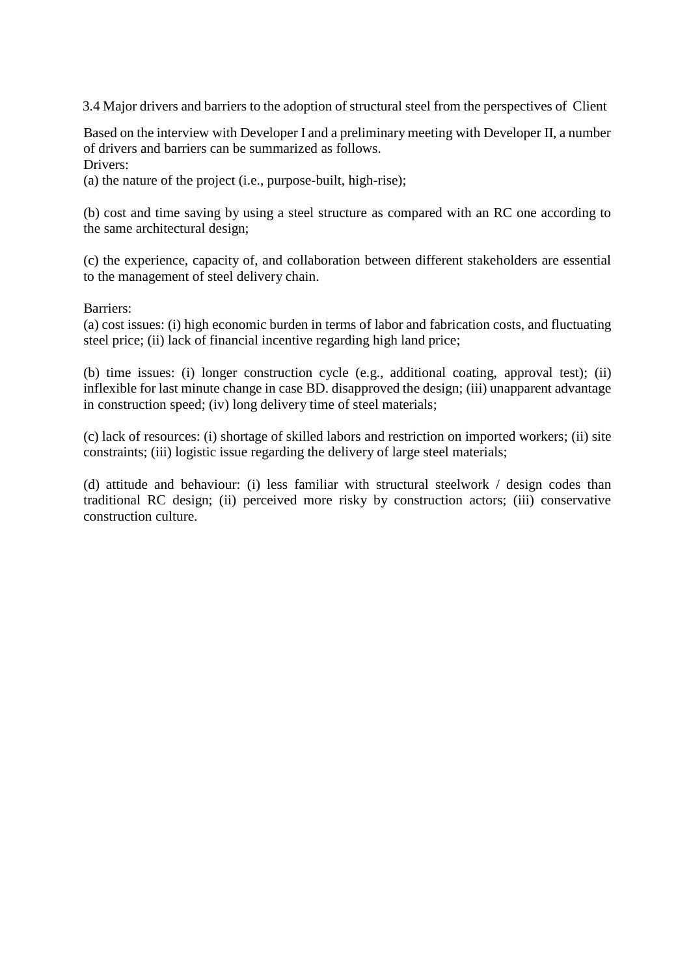3.4 Major drivers and barriers to the adoption of structural steel from the perspectives of Client

Based on the interview with Developer I and a preliminary meeting with Developer II, a number of drivers and barriers can be summarized as follows. Drivers:

(a) the nature of the project (i.e., purpose-built, high-rise);

(b) cost and time saving by using a steel structure as compared with an RC one according to the same architectural design;

(c) the experience, capacity of, and collaboration between different stakeholders are essential to the management of steel delivery chain.

#### Barriers:

(a) cost issues: (i) high economic burden in terms of labor and fabrication costs, and fluctuating steel price; (ii) lack of financial incentive regarding high land price;

(b) time issues: (i) longer construction cycle (e.g., additional coating, approval test); (ii) inflexible for last minute change in case BD. disapproved the design; (iii) unapparent advantage in construction speed; (iv) long delivery time of steel materials;

(c) lack of resources: (i) shortage of skilled labors and restriction on imported workers; (ii) site constraints; (iii) logistic issue regarding the delivery of large steel materials;

(d) attitude and behaviour: (i) less familiar with structural steelwork / design codes than traditional RC design; (ii) perceived more risky by construction actors; (iii) conservative construction culture.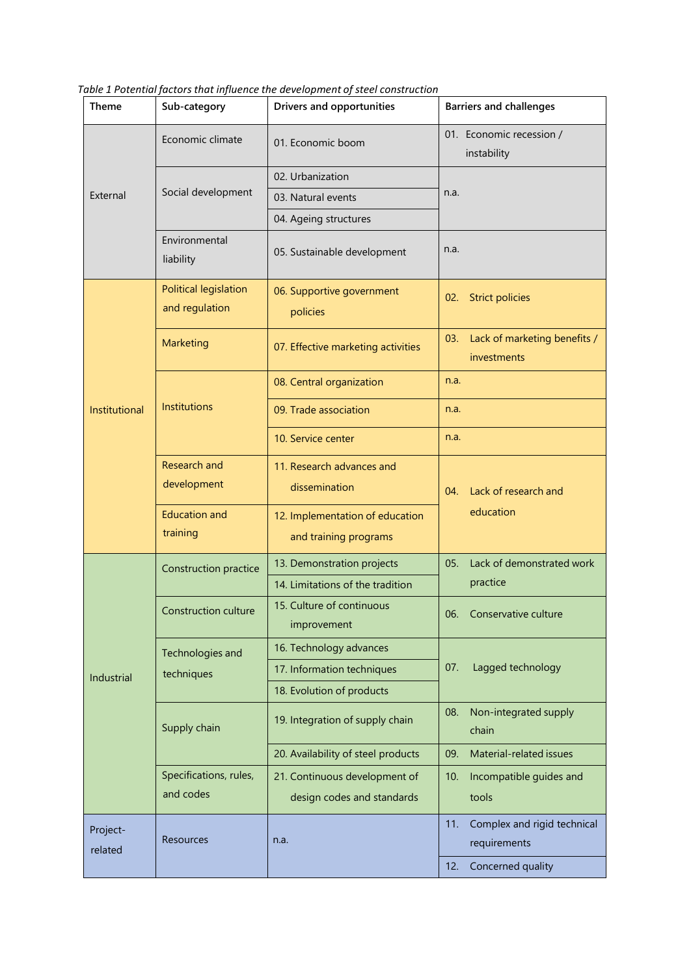| Theme               | Sub-category                            | <b>Drivers and opportunities</b>         | <b>Barriers and challenges</b>                     |
|---------------------|-----------------------------------------|------------------------------------------|----------------------------------------------------|
| External            | Economic climate                        | 01. Economic boom                        | 01. Economic recession /<br>instability            |
|                     |                                         | 02. Urbanization                         |                                                    |
|                     | Social development                      | 03. Natural events                       | n.a.                                               |
|                     |                                         | 04. Ageing structures                    |                                                    |
|                     | Environmental<br>liability              | 05. Sustainable development              | n.a.                                               |
|                     | Political legislation<br>and regulation | 06. Supportive government<br>policies    | <b>Strict policies</b><br>02.                      |
|                     | Marketing                               | 07. Effective marketing activities       | Lack of marketing benefits /<br>03.<br>investments |
|                     |                                         | 08. Central organization                 | n.a.                                               |
| Institutional       | Institutions                            | 09. Trade association                    | n.a.                                               |
|                     |                                         | 10. Service center                       | n.a.                                               |
|                     | Research and                            | 11. Research advances and                |                                                    |
|                     | development                             | dissemination                            | Lack of research and<br>04.                        |
|                     | <b>Education and</b>                    | 12. Implementation of education          | education                                          |
|                     | training                                | and training programs                    |                                                    |
| Industrial          | Construction practice                   | 13. Demonstration projects               | Lack of demonstrated work<br>05.                   |
|                     |                                         | 14. Limitations of the tradition         | practice                                           |
|                     | <b>Construction culture</b>             | 15. Culture of continuous<br>improvement | 06. Conservative culture                           |
|                     | Technologies and<br>techniques          | 16. Technology advances                  |                                                    |
|                     |                                         | 17. Information techniques               | Lagged technology<br>07.                           |
|                     |                                         | 18. Evolution of products                |                                                    |
|                     | Supply chain                            | 19. Integration of supply chain          | Non-integrated supply<br>08.<br>chain              |
|                     |                                         | 20. Availability of steel products       | Material-related issues<br>09.                     |
|                     | Specifications, rules,                  | 21. Continuous development of            | 10.<br>Incompatible guides and                     |
|                     | and codes                               | design codes and standards               | tools                                              |
| Project-<br>related | <b>Resources</b>                        | n.a.                                     | Complex and rigid technical<br>11.<br>requirements |
|                     |                                         |                                          | Concerned quality<br>12.                           |